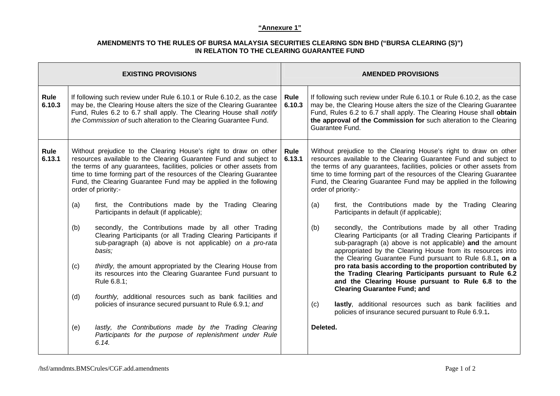## **"Annexure 1"**

## **AMENDMENTS TO THE RULES OF BURSA MALAYSIA SECURITIES CLEARING SDN BHD ("BURSA CLEARING (S)") IN RELATION TO THE CLEARING GUARANTEE FUND**

| <b>EXISTING PROVISIONS</b> |     |                                                                                                                                                                                                                                                                                                                                                                                     | <b>AMENDED PROVISIONS</b> |                                                                                                                                                                                                                                                                                                                                                                                     |                                                                                                                                                                                                                                                                                                                |
|----------------------------|-----|-------------------------------------------------------------------------------------------------------------------------------------------------------------------------------------------------------------------------------------------------------------------------------------------------------------------------------------------------------------------------------------|---------------------------|-------------------------------------------------------------------------------------------------------------------------------------------------------------------------------------------------------------------------------------------------------------------------------------------------------------------------------------------------------------------------------------|----------------------------------------------------------------------------------------------------------------------------------------------------------------------------------------------------------------------------------------------------------------------------------------------------------------|
| Rule<br>6.10.3             |     | If following such review under Rule 6.10.1 or Rule 6.10.2, as the case<br>may be, the Clearing House alters the size of the Clearing Guarantee<br>Fund, Rules 6.2 to 6.7 shall apply. The Clearing House shall notify<br>the Commission of such alteration to the Clearing Guarantee Fund.                                                                                          | Rule<br>6.10.3            |                                                                                                                                                                                                                                                                                                                                                                                     | If following such review under Rule 6.10.1 or Rule 6.10.2, as the case<br>may be, the Clearing House alters the size of the Clearing Guarantee<br>Fund, Rules 6.2 to 6.7 shall apply. The Clearing House shall obtain<br>the approval of the Commission for such alteration to the Clearing<br>Guarantee Fund. |
| Rule<br>6.13.1             |     | Without prejudice to the Clearing House's right to draw on other<br>resources available to the Clearing Guarantee Fund and subject to<br>the terms of any guarantees, facilities, policies or other assets from<br>time to time forming part of the resources of the Clearing Guarantee<br>Fund, the Clearing Guarantee Fund may be applied in the following<br>order of priority:- | Rule<br>6.13.1            | Without prejudice to the Clearing House's right to draw on other<br>resources available to the Clearing Guarantee Fund and subject to<br>the terms of any guarantees, facilities, policies or other assets from<br>time to time forming part of the resources of the Clearing Guarantee<br>Fund, the Clearing Guarantee Fund may be applied in the following<br>order of priority:- |                                                                                                                                                                                                                                                                                                                |
|                            | (a) | first, the Contributions made by the Trading Clearing<br>Participants in default (if applicable);                                                                                                                                                                                                                                                                                   |                           | (a)                                                                                                                                                                                                                                                                                                                                                                                 | first, the Contributions made by the Trading Clearing<br>Participants in default (if applicable);                                                                                                                                                                                                              |
|                            | (b) | secondly, the Contributions made by all other Trading<br>Clearing Participants (or all Trading Clearing Participants if<br>sub-paragraph (a) above is not applicable) on a pro-rata<br>basis;                                                                                                                                                                                       |                           | (b)                                                                                                                                                                                                                                                                                                                                                                                 | secondly, the Contributions made by all other Trading<br>Clearing Participants (or all Trading Clearing Participants if<br>sub-paragraph (a) above is not applicable) and the amount<br>appropriated by the Clearing House from its resources into<br>the Clearing Guarantee Fund pursuant to Rule 6.8.1, on a |
|                            | (c) | thirdly, the amount appropriated by the Clearing House from<br>its resources into the Clearing Guarantee Fund pursuant to<br>Rule 6.8.1;                                                                                                                                                                                                                                            |                           |                                                                                                                                                                                                                                                                                                                                                                                     | pro rata basis according to the proportion contributed by<br>the Trading Clearing Participants pursuant to Rule 6.2<br>and the Clearing House pursuant to Rule 6.8 to the<br><b>Clearing Guarantee Fund; and</b>                                                                                               |
|                            | (d) | fourthly, additional resources such as bank facilities and<br>policies of insurance secured pursuant to Rule 6.9.1; and                                                                                                                                                                                                                                                             |                           | (c)                                                                                                                                                                                                                                                                                                                                                                                 | lastly, additional resources such as bank facilities and<br>policies of insurance secured pursuant to Rule 6.9.1.                                                                                                                                                                                              |
|                            | (e) | lastly, the Contributions made by the Trading Clearing<br>Participants for the purpose of replenishment under Rule<br>6.14.                                                                                                                                                                                                                                                         |                           | Deleted.                                                                                                                                                                                                                                                                                                                                                                            |                                                                                                                                                                                                                                                                                                                |